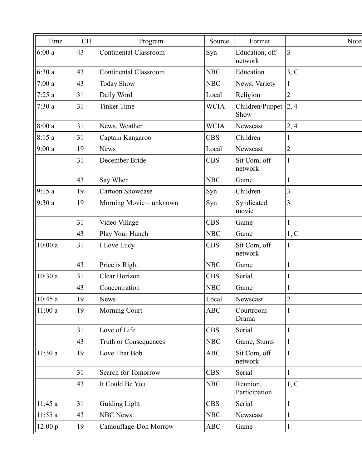| Time    | <b>CH</b> | Program                      | Source      | Format                    | Note:          |
|---------|-----------|------------------------------|-------------|---------------------------|----------------|
| 6:00a   | 43        | <b>Continental Classroom</b> | Syn         | Education, off<br>network | $\overline{3}$ |
| 6:30a   | 43        | <b>Continental Classroom</b> | <b>NBC</b>  | Education                 | 3, C           |
| 7:00a   | 43        | <b>Today Show</b>            | <b>NBC</b>  | News, Variety             | 1              |
| 7:25a   | 31        | Daily Word                   | Local       | Religion                  | $\overline{2}$ |
| 7:30a   | 31        | <b>Tinker Time</b>           | <b>WCIA</b> | Children/Puppet<br>Show   | 2, 4           |
| 8:00a   | 31        | News, Weather                | <b>WCIA</b> | Newscast                  | 2,4            |
| 8:15a   | 31        | Captain Kangaroo             | <b>CBS</b>  | Children                  |                |
| 9:00a   | 19        | <b>News</b>                  | Local       | Newscast                  | $\sqrt{2}$     |
|         | 31        | December Bride               | <b>CBS</b>  | Sit Com, off<br>network   | $\mathbf{1}$   |
|         | 43        | Say When                     | <b>NBC</b>  | Game                      | 1              |
| 9:15a   | 19        | <b>Cartoon Showcase</b>      | Syn         | Children                  | 3              |
| 9:30a   | 19        | Morning Movie - unknown      | Syn         | Syndicated<br>movie       | $\overline{3}$ |
|         | 31        | Video Village                | <b>CBS</b>  | Game                      | 1              |
|         | 43        | Play Your Hunch              | <b>NBC</b>  | Game                      | 1, C           |
| 10:00a  | 31        | I Love Lucy                  | <b>CBS</b>  | Sit Com, off<br>network   | $\mathbf{1}$   |
|         | 43        | Price is Right               | <b>NBC</b>  | Game                      | $\mathbf{1}$   |
| 10:30a  | 31        | Clear Horizon                | <b>CBS</b>  | Serial                    | $\mathbf{1}$   |
|         | 43        | Concentration                | <b>NBC</b>  | Game                      | $\mathbf{1}$   |
| 10:45a  | 19        | <b>News</b>                  | Local       | Newscast                  | $\overline{2}$ |
| 11:00a  | 19        | <b>Morning Court</b>         | <b>ABC</b>  | Courtroom<br>Drama        | 1              |
|         | 31        | Love of Life                 | <b>CBS</b>  | Serial                    | $\mathbf{1}$   |
|         | 43        | Truth or Consequences        | <b>NBC</b>  | Game, Stunts              | $\mathbf{1}$   |
| 11:30a  | 19        | Love That Bob                | <b>ABC</b>  | Sit Com, off<br>network   | $\mathbf{1}$   |
|         | 31        | Search for Tomorrow          | <b>CBS</b>  | Serial                    | $\mathbf{1}$   |
|         | 43        | It Could Be You              | <b>NBC</b>  | Reunion,<br>Participation | 1, C           |
| 11:45a  | 31        | <b>Guiding Light</b>         | <b>CBS</b>  | Serial                    | 1              |
| 11:55a  | 43        | <b>NBC News</b>              | <b>NBC</b>  | Newscast                  | $\mathbf{1}$   |
| 12:00 p | 19        | Camouflage-Don Morrow        | <b>ABC</b>  | Game                      | $\mathbf{1}$   |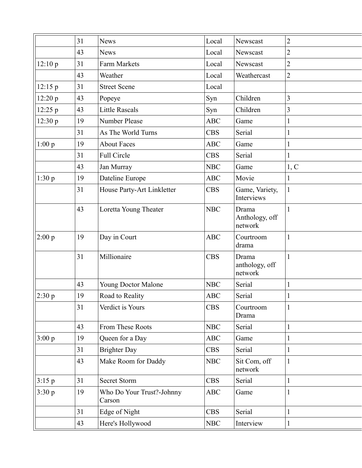| 31 | <b>News</b>                         | Local      | Newscast                           | 2              |
|----|-------------------------------------|------------|------------------------------------|----------------|
| 43 | <b>News</b>                         | Local      | Newscast                           | $\overline{2}$ |
| 31 | Farm Markets                        | Local      | Newscast                           | $\overline{2}$ |
| 43 | Weather                             | Local      | Weathercast                        | $\overline{2}$ |
| 31 | <b>Street Scene</b>                 | Local      |                                    |                |
| 43 | Popeye                              | Syn        | Children                           | 3              |
| 43 | <b>Little Rascals</b>               | Syn        | Children                           | 3              |
| 19 | Number Please                       | <b>ABC</b> | Game                               | $\mathbf{1}$   |
| 31 | As The World Turns                  | <b>CBS</b> | Serial                             | $\mathbf{1}$   |
| 19 | <b>About Faces</b>                  | <b>ABC</b> | Game                               | $\mathbf{1}$   |
| 31 | Full Circle                         | <b>CBS</b> | Serial                             | $\mathbf{1}$   |
| 43 | Jan Murray                          | <b>NBC</b> | Game                               | 1, C           |
| 19 | Dateline Europe                     | ABC        | Movie                              | $\mathbf{1}$   |
| 31 | House Party-Art Linkletter          | <b>CBS</b> | Game, Variety,<br>Interviews       | $\mathbf{1}$   |
| 43 | Loretta Young Theater               | <b>NBC</b> | Drama<br>Anthology, off<br>network | $\mathbf{1}$   |
| 19 | Day in Court                        | ABC        | Courtroom<br>drama                 | $\mathbf{1}$   |
| 31 | Millionaire                         | <b>CBS</b> | Drama<br>anthology, off<br>network | $\mathbf{1}$   |
| 43 | Young Doctor Malone                 | <b>NBC</b> | Serial                             | $\mathbf{1}$   |
| 19 | Road to Reality                     | <b>ABC</b> | Serial                             |                |
| 31 | Verdict is Yours                    | <b>CBS</b> | Courtroom<br>Drama                 | 1              |
| 43 | From These Roots                    | <b>NBC</b> | Serial                             | $\mathbf{1}$   |
| 19 | Queen for a Day                     | <b>ABC</b> | Game                               | $\mathbf{1}$   |
| 31 | <b>Brighter Day</b>                 | <b>CBS</b> | Serial                             | 1              |
| 43 | Make Room for Daddy                 | <b>NBC</b> | Sit Com, off<br>network            | $\mathbf{1}$   |
| 31 | <b>Secret Storm</b>                 | <b>CBS</b> | Serial                             | $\mathbf{1}$   |
| 19 | Who Do Your Trust?-Johnny<br>Carson | ABC        | Game                               | 1              |
| 31 | Edge of Night                       | <b>CBS</b> | Serial                             | $\mathbf{1}$   |
| 43 | Here's Hollywood                    | <b>NBC</b> | Interview                          | $\mathbf{1}$   |
|    |                                     |            |                                    |                |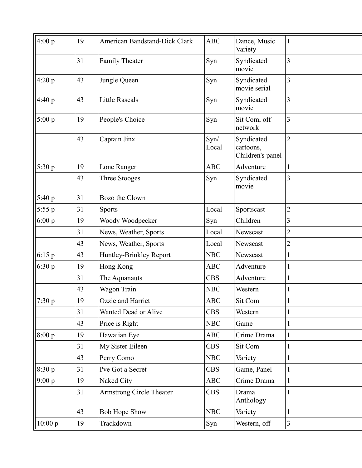| 4:00 p   | 19 | American Bandstand-Dick Clark | <b>ABC</b>    | Dance, Music<br>Variety                     | $\mathbf{1}$   |
|----------|----|-------------------------------|---------------|---------------------------------------------|----------------|
|          | 31 | Family Theater                | Syn           | Syndicated<br>movie                         | 3              |
| 4:20 p   | 43 | Jungle Queen                  | Syn           | Syndicated<br>movie serial                  | 3              |
| 4:40 p   | 43 | <b>Little Rascals</b>         | Syn           | Syndicated<br>movie                         | 3              |
| 5:00 p   | 19 | People's Choice               | Syn           | Sit Com, off<br>network                     | 3              |
|          | 43 | Captain Jinx                  | Syn/<br>Local | Syndicated<br>cartoons,<br>Children's panel | $\overline{2}$ |
| 5:30 p   | 19 | Lone Ranger                   | <b>ABC</b>    | Adventure                                   |                |
|          | 43 | Three Stooges                 | Syn           | Syndicated<br>movie                         | 3              |
| 5:40 p   | 31 | Bozo the Clown                |               |                                             |                |
| $5:55$ p | 31 | <b>Sports</b>                 | Local         | Sportscast                                  | $\overline{2}$ |
| 6:00 p   | 19 | Woody Woodpecker              | Syn           | Children                                    | 3              |
|          | 31 | News, Weather, Sports         | Local         | Newscast                                    | $\overline{2}$ |
|          | 43 | News, Weather, Sports         | Local         | Newscast                                    | 2              |
| $6:15$ p | 43 | Huntley-Brinkley Report       | <b>NBC</b>    | Newscast                                    | 1              |
| 6:30 p   | 19 | Hong Kong                     | <b>ABC</b>    | Adventure                                   | $\mathbf 1$    |
|          | 31 | The Aquanauts                 | <b>CBS</b>    | Adventure                                   | $\mathbf 1$    |
|          | 43 | Wagon Train                   | <b>NBC</b>    | Western                                     | 1              |
| 7:30 p   | 19 | Ozzie and Harriet             | <b>ABC</b>    | Sit Com                                     |                |
|          | 31 | Wanted Dead or Alive          | <b>CBS</b>    | Western                                     |                |
|          | 43 | Price is Right                | <b>NBC</b>    | Game                                        | 1              |
| 8:00 p   | 19 | Hawaiian Eye                  | ABC           | Crime Drama                                 | $\mathbf{1}$   |
|          | 31 | My Sister Eileen              | <b>CBS</b>    | Sit Com                                     | $\mathbf 1$    |
|          | 43 | Perry Como                    | <b>NBC</b>    | Variety                                     | 1              |
| 8:30 p   | 31 | I've Got a Secret             | <b>CBS</b>    | Game, Panel                                 | $\mathbf{1}$   |
| 9:00 p   | 19 | Naked City                    | <b>ABC</b>    | Crime Drama                                 | 1              |
|          | 31 | Armstrong Circle Theater      | <b>CBS</b>    | Drama<br>Anthology                          | $\mathbf{1}$   |
|          | 43 | <b>Bob Hope Show</b>          | <b>NBC</b>    | Variety                                     | 1              |
| 10:00 p  | 19 | Trackdown                     | Syn           | Western, off                                | $\mathfrak{Z}$ |
|          |    |                               |               |                                             |                |